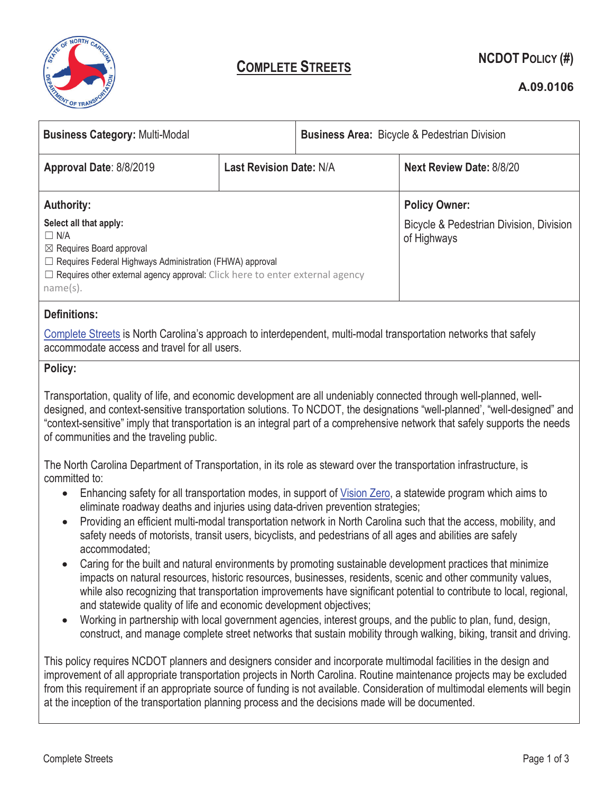

# **COMPLETE STREETS NCDOT POLICY (#)**

### **A.09.0106**

| <b>Business Category: Multi-Modal</b>                                                                                                                                                                                                                                                                                                                                                                                                                                                                                                                                                                                                                                                        |                                | <b>Business Area: Bicycle &amp; Pedestrian Division</b> |                                 |  |
|----------------------------------------------------------------------------------------------------------------------------------------------------------------------------------------------------------------------------------------------------------------------------------------------------------------------------------------------------------------------------------------------------------------------------------------------------------------------------------------------------------------------------------------------------------------------------------------------------------------------------------------------------------------------------------------------|--------------------------------|---------------------------------------------------------|---------------------------------|--|
| Approval Date: 8/8/2019                                                                                                                                                                                                                                                                                                                                                                                                                                                                                                                                                                                                                                                                      | <b>Last Revision Date: N/A</b> |                                                         | <b>Next Review Date: 8/8/20</b> |  |
| <b>Authority:</b>                                                                                                                                                                                                                                                                                                                                                                                                                                                                                                                                                                                                                                                                            |                                |                                                         | <b>Policy Owner:</b>            |  |
| Select all that apply:<br>Bicycle & Pedestrian Division, Division<br>$\Box$ N/A<br>of Highways<br>⊠ Requires Board approval<br>□ Requires Federal Highways Administration (FHWA) approval<br>$\Box$ Requires other external agency approval: Click here to enter external agency<br>name(s).                                                                                                                                                                                                                                                                                                                                                                                                 |                                |                                                         |                                 |  |
| <b>Definitions:</b>                                                                                                                                                                                                                                                                                                                                                                                                                                                                                                                                                                                                                                                                          |                                |                                                         |                                 |  |
| Complete Streets is North Carolina's approach to interdependent, multi-modal transportation networks that safely<br>accommodate access and travel for all users.                                                                                                                                                                                                                                                                                                                                                                                                                                                                                                                             |                                |                                                         |                                 |  |
| Policy:                                                                                                                                                                                                                                                                                                                                                                                                                                                                                                                                                                                                                                                                                      |                                |                                                         |                                 |  |
| Transportation, quality of life, and economic development are all undeniably connected through well-planned, well-<br>designed, and context-sensitive transportation solutions. To NCDOT, the designations "well-planned', "well-designed" and<br>"context-sensitive" imply that transportation is an integral part of a comprehensive network that safely supports the needs<br>of communities and the traveling public.                                                                                                                                                                                                                                                                    |                                |                                                         |                                 |  |
| The North Carolina Department of Transportation, in its role as steward over the transportation infrastructure, is                                                                                                                                                                                                                                                                                                                                                                                                                                                                                                                                                                           |                                |                                                         |                                 |  |
| committed to:<br>Enhancing safety for all transportation modes, in support of Vision Zero, a statewide program which aims to<br>$\bullet$                                                                                                                                                                                                                                                                                                                                                                                                                                                                                                                                                    |                                |                                                         |                                 |  |
| eliminate roadway deaths and injuries using data-driven prevention strategies;<br>Providing an efficient multi-modal transportation network in North Carolina such that the access, mobility, and<br>$\bullet$                                                                                                                                                                                                                                                                                                                                                                                                                                                                               |                                |                                                         |                                 |  |
| safety needs of motorists, transit users, bicyclists, and pedestrians of all ages and abilities are safely                                                                                                                                                                                                                                                                                                                                                                                                                                                                                                                                                                                   |                                |                                                         |                                 |  |
| accommodated;<br>Caring for the built and natural environments by promoting sustainable development practices that minimize<br>impacts on natural resources, historic resources, businesses, residents, scenic and other community values,<br>while also recognizing that transportation improvements have significant potential to contribute to local, regional,<br>and statewide quality of life and economic development objectives;<br>Working in partnership with local government agencies, interest groups, and the public to plan, fund, design,<br>$\bullet$<br>construct, and manage complete street networks that sustain mobility through walking, biking, transit and driving. |                                |                                                         |                                 |  |
| This policy requires NCDOT planners and designers consider and incorporate multimodal facilities in the design and<br>improvement of all appropriate transportation projects in North Carolina. Routine maintenance projects may be excluded<br>from this requirement if an appropriate source of funding is not available. Consideration of multimodal elements will begin<br>at the inception of the transportation planning process and the decisions made will be documented.                                                                                                                                                                                                            |                                |                                                         |                                 |  |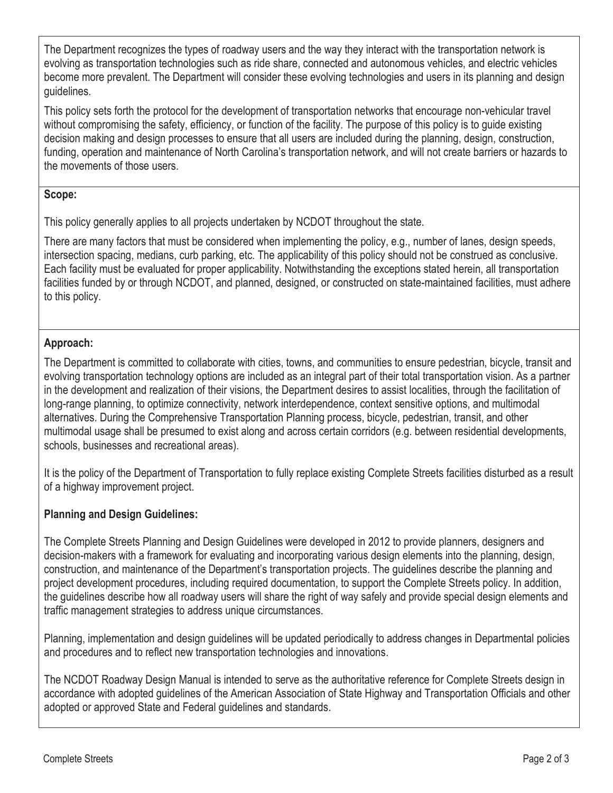The Department recognizes the types of roadway users and the way they interact with the transportation network is evolving as transportation technologies such as ride share, connected and autonomous vehicles, and electric vehicles become more prevalent. The Department will consider these evolving technologies and users in its planning and design guidelines.

This policy sets forth the protocol for the development of transportation networks that encourage non-vehicular travel without compromising the safety, efficiency, or function of the facility. The purpose of this policy is to guide existing decision making and design processes to ensure that all users are included during the planning, design, construction, funding, operation and maintenance of North Carolina's transportation network, and will not create barriers or hazards to the movements of those users.

#### **Scope:**

This policy generally applies to all projects undertaken by NCDOT throughout the state.

There are many factors that must be considered when implementing the policy, e.g., number of lanes, design speeds, intersection spacing, medians, curb parking, etc. The applicability of this policy should not be construed as conclusive. Each facility must be evaluated for proper applicability. Notwithstanding the exceptions stated herein, all transportation facilities funded by or through NCDOT, and planned, designed, or constructed on state-maintained facilities, must adhere to this policy.

# **Approach:**

The Department is committed to collaborate with cities, towns, and communities to ensure pedestrian, bicycle, transit and evolving transportation technology options are included as an integral part of their total transportation vision. As a partner in the development and realization of their visions, the Department desires to assist localities, through the facilitation of long-range planning, to optimize connectivity, network interdependence, context sensitive options, and multimodal alternatives. During the Comprehensive Transportation Planning process, bicycle, pedestrian, transit, and other multimodal usage shall be presumed to exist along and across certain corridors (e.g. between residential developments, schools, businesses and recreational areas).

It is the policy of the Department of Transportation to fully replace existing Complete Streets facilities disturbed as a result of a highway improvement project.

# **Planning and Design Guidelines:**

The Complete Streets Planning and Design Guidelines were developed in 2012 to provide planners, designers and decision-makers with a framework for evaluating and incorporating various design elements into the planning, design, construction, and maintenance of the Department's transportation projects. The guidelines describe the planning and project development procedures, including required documentation, to support the Complete Streets policy. In addition, the guidelines describe how all roadway users will share the right of way safely and provide special design elements and traffic management strategies to address unique circumstances.

Planning, implementation and design guidelines will be updated periodically to address changes in Departmental policies and procedures and to reflect new transportation technologies and innovations.

The NCDOT Roadway Design Manual is intended to serve as the authoritative reference for Complete Streets design in accordance with adopted guidelines of the American Association of State Highway and Transportation Officials and other adopted or approved State and Federal guidelines and standards.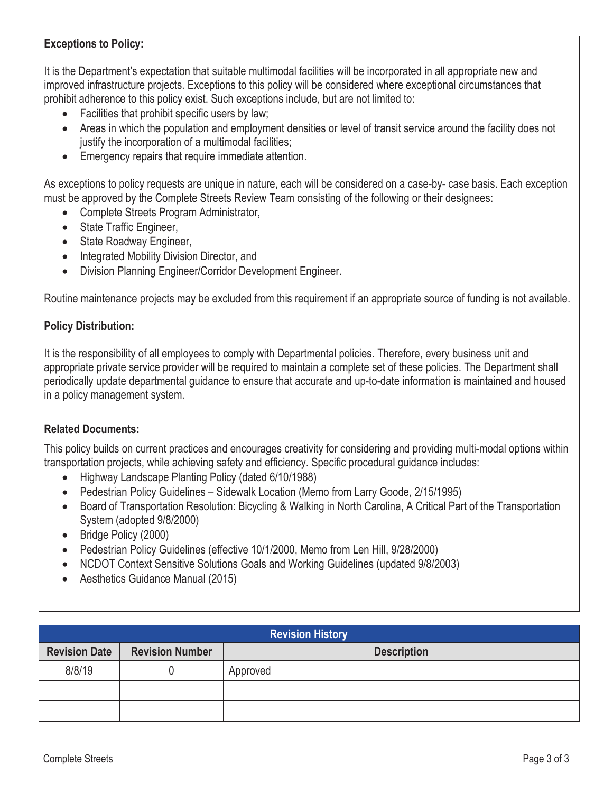#### **Exceptions to Policy:**

It is the Department's expectation that suitable multimodal facilities will be incorporated in all appropriate new and improved infrastructure projects. Exceptions to this policy will be considered where exceptional circumstances that prohibit adherence to this policy exist. Such exceptions include, but are not limited to:

- $\bullet$  Facilities that prohibit specific users by law;
- Areas in which the population and employment densities or level of transit service around the facility does not justify the incorporation of a multimodal facilities;
- Emergency repairs that require immediate attention.

As exceptions to policy requests are unique in nature, each will be considered on a case-by- case basis. Each exception must be approved by the Complete Streets Review Team consisting of the following or their designees:

- Complete Streets Program Administrator,
- State Traffic Engineer,
- State Roadway Engineer,
- Integrated Mobility Division Director, and
- Division Planning Engineer/Corridor Development Engineer.

Routine maintenance projects may be excluded from this requirement if an appropriate source of funding is not available.

#### **Policy Distribution:**

It is the responsibility of all employees to comply with Departmental policies. Therefore, every business unit and appropriate private service provider will be required to maintain a complete set of these policies. The Department shall periodically update departmental guidance to ensure that accurate and up-to-date information is maintained and housed in a policy management system.

#### **Related Documents:**

This policy builds on current practices and encourages creativity for considering and providing multi-modal options within transportation projects, while achieving safety and efficiency. Specific procedural guidance includes:

- Highway Landscape Planting Policy (dated 6/10/1988)
- Pedestrian Policy Guidelines Sidewalk Location (Memo from Larry Goode, 2/15/1995)
- Board of Transportation Resolution: Bicycling & Walking in North Carolina, A Critical Part of the Transportation System (adopted 9/8/2000)
- Bridge Policy (2000)
- Pedestrian Policy Guidelines (effective 10/1/2000, Memo from Len Hill, 9/28/2000)
- NCDOT Context Sensitive Solutions Goals and Working Guidelines (updated 9/8/2003)
- Aesthetics Guidance Manual (2015)

| <b>Revision History</b> |                        |                    |  |  |
|-------------------------|------------------------|--------------------|--|--|
| <b>Revision Date</b>    | <b>Revision Number</b> | <b>Description</b> |  |  |
| 8/8/19                  |                        | Approved           |  |  |
|                         |                        |                    |  |  |
|                         |                        |                    |  |  |